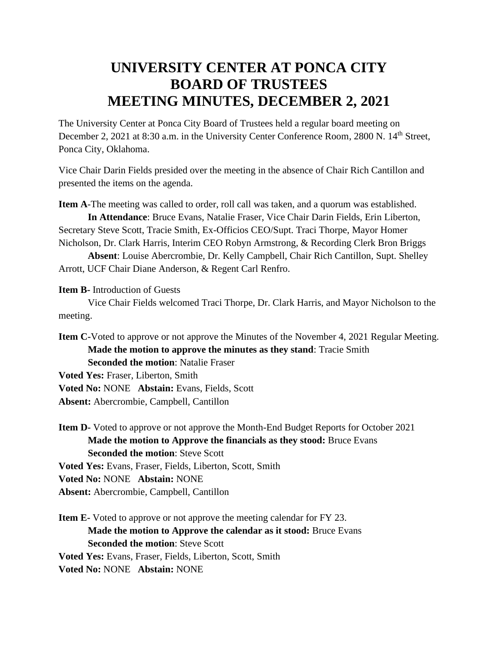## **UNIVERSITY CENTER AT PONCA CITY BOARD OF TRUSTEES MEETING MINUTES, DECEMBER 2, 2021**

The University Center at Ponca City Board of Trustees held a regular board meeting on December 2, 2021 at 8:30 a.m. in the University Center Conference Room, 2800 N. 14<sup>th</sup> Street, Ponca City, Oklahoma.

Vice Chair Darin Fields presided over the meeting in the absence of Chair Rich Cantillon and presented the items on the agenda.

**Item A**-The meeting was called to order, roll call was taken, and a quorum was established.

**In Attendance**: Bruce Evans, Natalie Fraser, Vice Chair Darin Fields, Erin Liberton, Secretary Steve Scott, Tracie Smith, Ex-Officios CEO/Supt. Traci Thorpe, Mayor Homer Nicholson, Dr. Clark Harris, Interim CEO Robyn Armstrong, & Recording Clerk Bron Briggs

**Absent**: Louise Abercrombie, Dr. Kelly Campbell, Chair Rich Cantillon, Supt. Shelley Arrott, UCF Chair Diane Anderson, & Regent Carl Renfro.

**Item B-** Introduction of Guests

Vice Chair Fields welcomed Traci Thorpe, Dr. Clark Harris, and Mayor Nicholson to the meeting.

**Item C-**Voted to approve or not approve the Minutes of the November 4, 2021 Regular Meeting. **Made the motion to approve the minutes as they stand**: Tracie Smith **Seconded the motion**: Natalie Fraser

**Voted Yes:** Fraser, Liberton, Smith **Voted No:** NONE **Abstain:** Evans, Fields, Scott

**Absent:** Abercrombie, Campbell, Cantillon

**Item D-** Voted to approve or not approve the Month-End Budget Reports for October 2021 **Made the motion to Approve the financials as they stood:** Bruce Evans **Seconded the motion**: Steve Scott

**Voted Yes:** Evans, Fraser, Fields, Liberton, Scott, Smith

**Voted No:** NONE **Abstain:** NONE

**Absent:** Abercrombie, Campbell, Cantillon

**Item E-** Voted to approve or not approve the meeting calendar for FY 23. **Made the motion to Approve the calendar as it stood:** Bruce Evans **Seconded the motion**: Steve Scott **Voted Yes:** Evans, Fraser, Fields, Liberton, Scott, Smith **Voted No:** NONE **Abstain:** NONE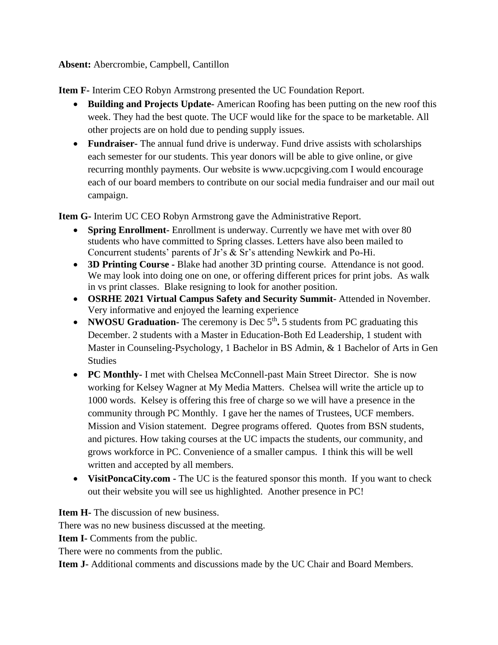## **Absent:** Abercrombie, Campbell, Cantillon

**Item F-** Interim CEO Robyn Armstrong presented the UC Foundation Report.

- **Building and Projects Update-** American Roofing has been putting on the new roof this week. They had the best quote. The UCF would like for the space to be marketable. All other projects are on hold due to pending supply issues.
- **Fundraiser-** The annual fund drive is underway. Fund drive assists with scholarships each semester for our students. This year donors will be able to give online, or give recurring monthly payments. Our website is www.ucpcgiving.com I would encourage each of our board members to contribute on our social media fundraiser and our mail out campaign.

**Item G-** Interim UC CEO Robyn Armstrong gave the Administrative Report.

- **Spring Enrollment-** Enrollment is underway. Currently we have met with over 80 students who have committed to Spring classes. Letters have also been mailed to Concurrent students' parents of Jr's & Sr's attending Newkirk and Po-Hi.
- **3D Printing Course -** Blake had another 3D printing course. Attendance is not good. We may look into doing one on one, or offering different prices for print jobs. As walk in vs print classes. Blake resigning to look for another position.
- **OSRHE 2021 Virtual Campus Safety and Security Summit-** Attended in November. Very informative and enjoyed the learning experience
- **NWOSU Graduation-** The ceremony is Dec  $5<sup>th</sup>$ . 5 students from PC graduating this December. 2 students with a Master in Education-Both Ed Leadership, 1 student with Master in Counseling-Psychology, 1 Bachelor in BS Admin, & 1 Bachelor of Arts in Gen Studies
- **PC Monthly-** I met with Chelsea McConnell-past Main Street Director. She is now working for Kelsey Wagner at My Media Matters. Chelsea will write the article up to 1000 words. Kelsey is offering this free of charge so we will have a presence in the community through PC Monthly. I gave her the names of Trustees, UCF members. Mission and Vision statement. Degree programs offered. Quotes from BSN students, and pictures. How taking courses at the UC impacts the students, our community, and grows workforce in PC. Convenience of a smaller campus. I think this will be well written and accepted by all members.
- **VisitPoncaCity.com -** The UC is the featured sponsor this month. If you want to check out their website you will see us highlighted. Another presence in PC!

**Item H-** The discussion of new business.

There was no new business discussed at the meeting.

**Item I-** Comments from the public.

There were no comments from the public.

**Item J-** Additional comments and discussions made by the UC Chair and Board Members.